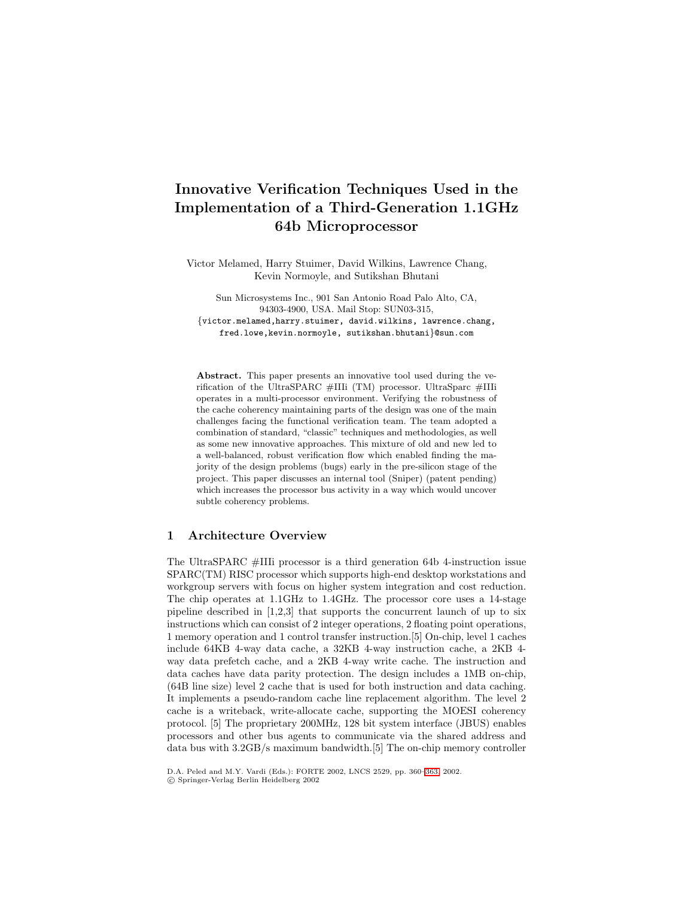# **Innovative Verification Techniques Used in the Implementation of a Third-Generation 1.1GHz 64bMicroprocessor**

Victor Melamed, Harry Stuimer, David Wilkins, Lawrence Chang, Kevin Normoyle, and Sutikshan Bhutani

Sun Microsystems Inc., 901 San Antonio Road Palo Alto, CA, 94303-4900, USA. Mail Stop: SUN03-315, {victor.melamed,harry.stuimer, david.wilkins, lawrence.chang, fred.lowe,kevin.normoyle, sutikshan.bhutani}@sun.com

**Abstract.** This paper presents an innovative tool used during the verification of the UltraSPARC #IIIi (TM) processor. UltraSparc #IIIi operates in a multi-processor environment. Verifying the robustness of the cache coherency maintaining parts of the design was one of the main challenges facing the functional verification team. The team adopted a combination of standard, "classic" techniques and methodologies, as well as some new innovative approaches. This mixture of old and new led to a well-balanced, robust verification flow which enabled finding the majority of the design problems (bugs) early in the pre-silicon stage of the project. This paper discusses an internal tool (Sniper) (patent pending) which increases the processor bus activity in a way which would uncover subtle coherency problems.

## **1 Architecture Overview**

The UltraSPARC #IIIi processor is a third generation 64b 4-instruction issue SPARC(TM) RISC processor which supports high-end desktop workstations and workgroup servers with focus on higher system integration and cost reduction. The chip operates at 1.1GHz to 1.4GHz. The processor core uses a 14-stage pipeline described in [1,2,3] that supports the concurrent launch of up to six instructions which can consist of 2 integer operations, 2 floating point operations, 1 memory operation and 1 control transfer instruction.[5] On-chip, level 1 caches include 64KB 4-way data cache, a 32KB 4-way instruction cache, a 2KB 4 way data prefetch cache, and a 2KB 4-way write cache. The instruction and data caches have data parity protection. The design includes a 1MB on-chip, (64B line size) level 2 cache that is used for both instruction and data caching. It implements a pseudo-random cache line replacement algorithm. The level 2 cache is a writeback, write-allocate cache, supporting the MOESI coherency protocol. [5] The proprietary 200MHz, 128 bit system interface (JBUS) enables processors and other bus agents to communicate via the shared address and data bus with 3.2GB/s maximum bandwidth.[5] The on-chip memory controller

D.A. Peled and M.Y. Vardi (Eds.): FORTE 2002, LNCS 2529, pp. 360[–363,](#page-3-0) 2002.

c Springer-Verlag Berlin Heidelberg 2002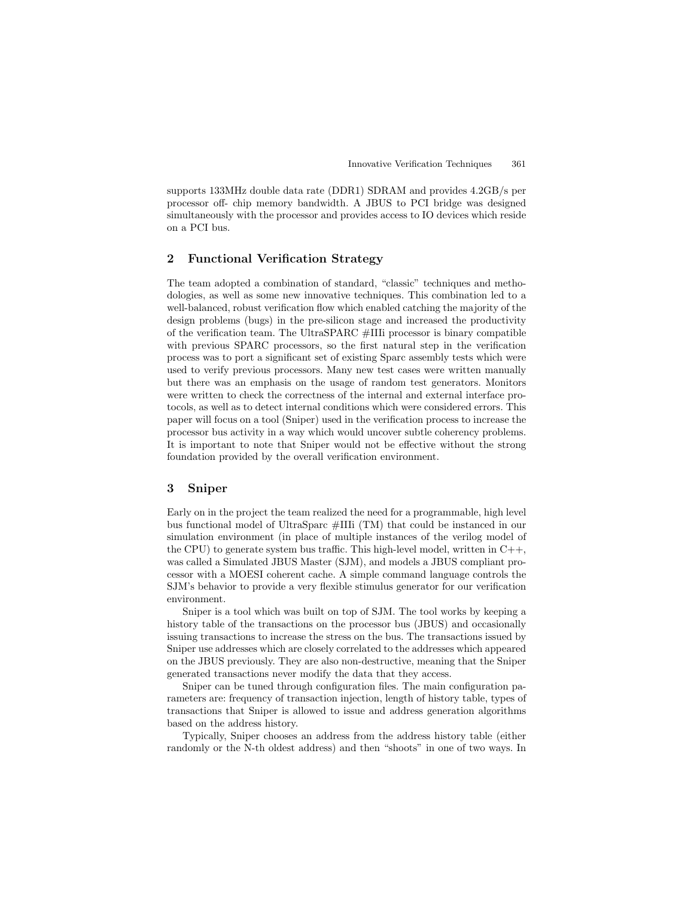supports 133MHz double data rate (DDR1) SDRAM and provides 4.2GB/s per processor off- chip memory bandwidth. A JBUS to PCI bridge was designed simultaneously with the processor and provides access to IO devices which reside on a PCI bus.

## **2 Functional Verification Strategy**

The team adopted a combination of standard, "classic" techniques and methodologies, as well as some new innovative techniques. This combination led to a well-balanced, robust verification flow which enabled catching the majority of the design problems (bugs) in the pre-silicon stage and increased the productivity of the verification team. The UltraSPARC #IIIi processor is binary compatible with previous SPARC processors, so the first natural step in the verification process was to port a significant set of existing Sparc assembly tests which were used to verify previous processors. Many new test cases were written manually but there was an emphasis on the usage of random test generators. Monitors were written to check the correctness of the internal and external interface protocols, as well as to detect internal conditions which were considered errors. This paper will focus on a tool (Sniper) used in the verification process to increase the processor bus activity in a way which would uncover subtle coherency problems. It is important to note that Sniper would not be effective without the strong foundation provided by the overall verification environment.

#### **3 Sniper**

Early on in the project the team realized the need for a programmable, high level bus functional model of UltraSparc #IIIi (TM) that could be instanced in our simulation environment (in place of multiple instances of the verilog model of the CPU) to generate system bus traffic. This high-level model, written in  $C++$ , was called a Simulated JBUS Master (SJM), and models a JBUS compliant processor with a MOESI coherent cache. A simple command language controls the SJM's behavior to provide a very flexible stimulus generator for our verification environment.

Sniper is a tool which was built on top of SJM. The tool works by keeping a history table of the transactions on the processor bus (JBUS) and occasionally issuing transactions to increase the stress on the bus. The transactions issued by Sniper use addresses which are closely correlated to the addresses which appeared on the JBUS previously. They are also non-destructive, meaning that the Sniper generated transactions never modify the data that they access.

Sniper can be tuned through configuration files. The main configuration parameters are: frequency of transaction injection, length of history table, types of transactions that Sniper is allowed to issue and address generation algorithms based on the address history.

Typically, Sniper chooses an address from the address history table (either randomly or the N-th oldest address) and then "shoots" in one of two ways. In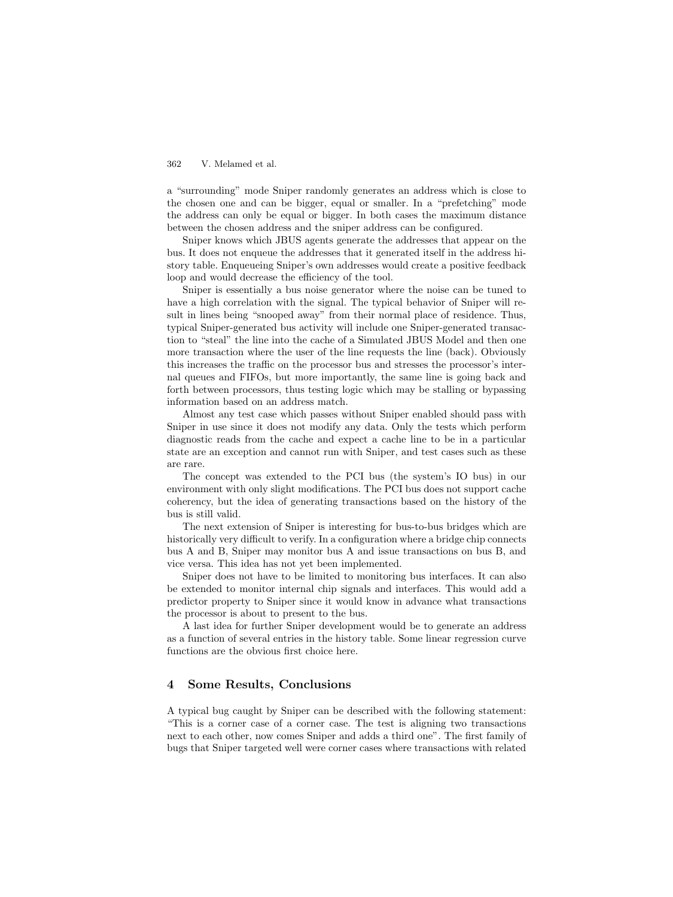#### 362 V. Melamed et al.

a "surrounding" mode Sniper randomly generates an address which is close to the chosen one and can be bigger, equal or smaller. In a "prefetching" mode the address can only be equal or bigger. In both cases the maximum distance between the chosen address and the sniper address can be configured.

Sniper knows which JBUS agents generate the addresses that appear on the bus. It does not enqueue the addresses that it generated itself in the address history table. Enqueueing Sniper's own addresses would create a positive feedback loop and would decrease the efficiency of the tool.

Sniper is essentially a bus noise generator where the noise can be tuned to have a high correlation with the signal. The typical behavior of Sniper will result in lines being "snooped away" from their normal place of residence. Thus, typical Sniper-generated bus activity will include one Sniper-generated transaction to "steal" the line into the cache of a Simulated JBUS Model and then one more transaction where the user of the line requests the line (back). Obviously this increases the traffic on the processor bus and stresses the processor's internal queues and FIFOs, but more importantly, the same line is going back and forth between processors, thus testing logic which may be stalling or bypassing information based on an address match.

Almost any test case which passes without Sniper enabled should pass with Sniper in use since it does not modify any data. Only the tests which perform diagnostic reads from the cache and expect a cache line to be in a particular state are an exception and cannot run with Sniper, and test cases such as these are rare.

The concept was extended to the PCI bus (the system's IO bus) in our environment with only slight modifications. The PCI bus does not support cache coherency, but the idea of generating transactions based on the history of the bus is still valid.

The next extension of Sniper is interesting for bus-to-bus bridges which are historically very difficult to verify. In a configuration where a bridge chip connects bus A and B, Sniper may monitor bus A and issue transactions on bus B, and vice versa. This idea has not yet been implemented.

Sniper does not have to be limited to monitoring bus interfaces. It can also be extended to monitor internal chip signals and interfaces. This would add a predictor property to Sniper since it would know in advance what transactions the processor is about to present to the bus.

A last idea for further Sniper development would be to generate an address as a function of several entries in the history table. Some linear regression curve functions are the obvious first choice here.

## **4 Some Results, Conclusions**

A typical bug caught by Sniper can be described with the following statement: "This is a corner case of a corner case. The test is aligning two transactions next to each other, now comes Sniper and adds a third one". The first family of bugs that Sniper targeted well were corner cases where transactions with related